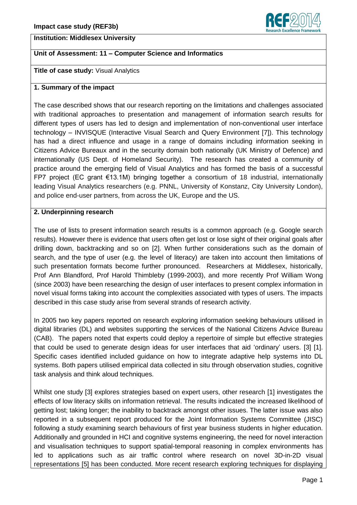

## **Institution: Middlesex University**

# **Unit of Assessment: 11 – Computer Science and Informatics**

### **Title of case study:** Visual Analytics

#### **1. Summary of the impact**

The case described shows that our research reporting on the limitations and challenges associated with traditional approaches to presentation and management of information search results for different types of users has led to design and implementation of non-conventional user interface technology – INVISQUE (Interactive Visual Search and Query Environment [7]). This technology has had a direct influence and usage in a range of domains including information seeking in Citizens Advice Bureaux and in the security domain both nationally (UK Ministry of Defence) and internationally (US Dept. of Homeland Security). The research has created a community of practice around the emerging field of Visual Analytics and has formed the basis of a successful FP7 project (EC grant €13.1M) bringing together a consortium of 18 industrial, internationally leading Visual Analytics researchers (e.g. PNNL, University of Konstanz, City University London), and police end-user partners, from across the UK, Europe and the US.

#### **2. Underpinning research**

The use of lists to present information search results is a common approach (e.g. Google search results). However there is evidence that users often get lost or lose sight of their original goals after drilling down, backtracking and so on [2]. When further considerations such as the domain of search, and the type of user (e.g. the level of literacy) are taken into account then limitations of such presentation formats become further pronounced. Researchers at Middlesex, historically, Prof Ann Blandford, Prof Harold Thimbleby (1999-2003), and more recently Prof William Wong (since 2003) have been researching the design of user interfaces to present complex information in novel visual forms taking into account the complexities associated with types of users. The impacts described in this case study arise from several strands of research activity.

In 2005 two key papers reported on research exploring information seeking behaviours utilised in digital libraries (DL) and websites supporting the services of the National Citizens Advice Bureau (CAB). The papers noted that experts could deploy a repertoire of simple but effective strategies that could be used to generate design ideas for user interfaces that aid 'ordinary' users. [3] [1]. Specific cases identified included guidance on how to integrate adaptive help systems into DL systems. Both papers utilised empirical data collected in situ through observation studies, cognitive task analysis and think aloud techniques.

Whilst one study [3] explores strategies based on expert users, other research [1] investigates the effects of low literacy skills on information retrieval. The results indicated the increased likelihood of getting lost; taking longer; the inability to backtrack amongst other issues. The latter issue was also reported in a subsequent report produced for the Joint Information Systems Committee (JISC) following a study examining search behaviours of first year business students in higher education. Additionally and grounded in HCI and cognitive systems engineering, the need for novel interaction and visualisation techniques to support spatial-temporal reasoning in complex environments has led to applications such as air traffic control where research on novel 3D-in-2D visual representations [5] has been conducted. More recent research exploring techniques for displaying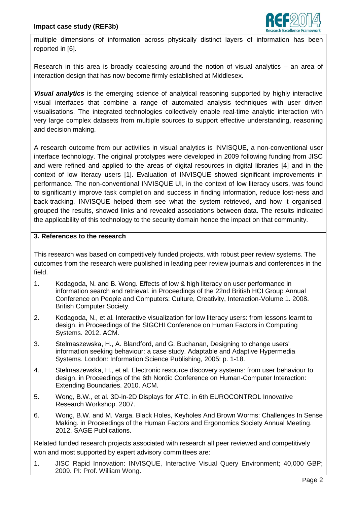

multiple dimensions of information across physically distinct layers of information has been reported in [6].

Research in this area is broadly coalescing around the notion of visual analytics – an area of interaction design that has now become firmly established at Middlesex.

*Visual analytics* is the emerging science of analytical reasoning supported by highly interactive visual interfaces that combine a range of automated analysis techniques with user driven visualisations. The integrated technologies collectively enable real-time analytic interaction with very large complex datasets from multiple sources to support effective understanding, reasoning and decision making.

A research outcome from our activities in visual analytics is INVISQUE, a non-conventional user interface technology. The original prototypes were developed in 2009 following funding from JISC and were refined and applied to the areas of digital resources in digital libraries [4] and in the context of low literacy users [1]. Evaluation of INVISQUE showed significant improvements in performance. The non-conventional INVISQUE UI, in the context of low literacy users, was found to significantly improve task completion and success in finding information, reduce lost-ness and back-tracking. INVISQUE helped them see what the system retrieved, and how it organised, grouped the results, showed links and revealed associations between data. The results indicated the applicability of this technology to the security domain hence the impact on that community.

## **3. References to the research**

This research was based on competitively funded projects, with robust peer review systems. The outcomes from the research were published in leading peer review journals and conferences in the field.

- 1. Kodagoda, N. and B. Wong. Effects of low & high literacy on user performance in information search and retrieval. in Proceedings of the 22nd British HCI Group Annual Conference on People and Computers: Culture, Creativity, Interaction-Volume 1. 2008. British Computer Society.
- 2. Kodagoda, N., et al. Interactive visualization for low literacy users: from lessons learnt to design. in Proceedings of the SIGCHI Conference on Human Factors in Computing Systems. 2012. ACM.
- 3. Stelmaszewska, H., A. Blandford, and G. Buchanan, Designing to change users' information seeking behaviour: a case study. Adaptable and Adaptive Hypermedia Systems. London: Information Science Publishing, 2005: p. 1-18.
- 4. Stelmaszewska, H., et al. Electronic resource discovery systems: from user behaviour to design. in Proceedings of the 6th Nordic Conference on Human-Computer Interaction: Extending Boundaries. 2010. ACM.
- 5. Wong, B.W., et al. 3D-in-2D Displays for ATC. in 6th EUROCONTROL Innovative Research Workshop. 2007.
- 6. Wong, B.W. and M. Varga. Black Holes, Keyholes And Brown Worms: Challenges In Sense Making. in Proceedings of the Human Factors and Ergonomics Society Annual Meeting. 2012. SAGE Publications.

Related funded research projects associated with research all peer reviewed and competitively won and most supported by expert advisory committees are:

1. JISC Rapid Innovation: INVISQUE, Interactive Visual Query Environment; 40,000 GBP; 2009. PI: Prof. William Wong.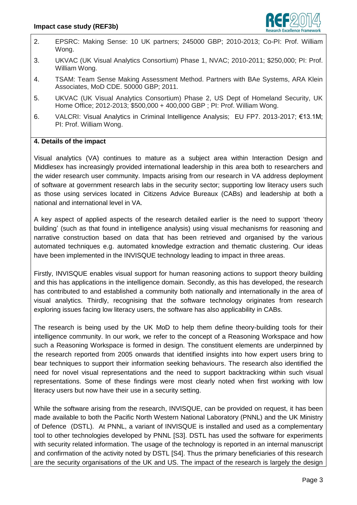

- 2. EPSRC: Making Sense: 10 UK partners; 245000 GBP; 2010-2013; Co-PI: Prof. William Wong.
- 3. UKVAC (UK Visual Analytics Consortium) Phase 1, NVAC; 2010-2011; \$250,000; PI: Prof. William Wong.
- 4. TSAM: Team Sense Making Assessment Method. Partners with BAe Systems, ARA Klein Associates, MoD CDE. 50000 GBP; 2011.
- 5. UKVAC (UK Visual Analytics Consortium) Phase 2, US Dept of Homeland Security, UK Home Office; 2012-2013; \$500,000 + 400,000 GBP ; PI: Prof. William Wong.
- 6. VALCRI: Visual Analytics in Criminal Intelligence Analysis; EU FP7. 2013-2017; €13.1M; PI: Prof. William Wong.

## **4. Details of the impact**

Visual analytics (VA) continues to mature as a subject area within Interaction Design and Middlesex has increasingly provided international leadership in this area both to researchers and the wider research user community. Impacts arising from our research in VA address deployment of software at government research labs in the security sector; supporting low literacy users such as those using services located in Citizens Advice Bureaux (CABs) and leadership at both a national and international level in VA.

A key aspect of applied aspects of the research detailed earlier is the need to support 'theory building' (such as that found in intelligence analysis) using visual mechanisms for reasoning and narrative construction based on data that has been retrieved and organised by the various automated techniques e.g. automated knowledge extraction and thematic clustering. Our ideas have been implemented in the INVISQUE technology leading to impact in three areas.

Firstly, INVISQUE enables visual support for human reasoning actions to support theory building and this has applications in the intelligence domain. Secondly, as this has developed, the research has contributed to and established a community both nationally and internationally in the area of visual analytics. Thirdly, recognising that the software technology originates from research exploring issues facing low literacy users, the software has also applicability in CABs.

The research is being used by the UK MoD to help them define theory-building tools for their intelligence community. In our work, we refer to the concept of a Reasoning Workspace and how such a Reasoning Workspace is formed in design. The constituent elements are underpinned by the research reported from 2005 onwards that identified insights into how expert users bring to bear techniques to support their information seeking behaviours. The research also identified the need for novel visual representations and the need to support backtracking within such visual representations. Some of these findings were most clearly noted when first working with low literacy users but now have their use in a security setting.

While the software arising from the research, INVISQUE, can be provided on request, it has been made available to both the Pacific North Western National Laboratory (PNNL) and the UK Ministry of Defence (DSTL). At PNNL, a variant of INVISQUE is installed and used as a complementary tool to other technologies developed by PNNL [S3]. DSTL has used the software for experiments with security related information. The usage of the technology is reported in an internal manuscript and confirmation of the activity noted by DSTL [S4]. Thus the primary beneficiaries of this research are the security organisations of the UK and US. The impact of the research is largely the design